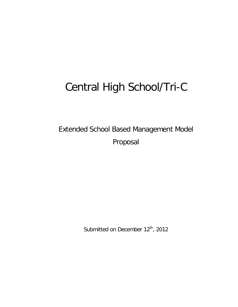# Central High School/Tri-C

Extended School Based Management Model Proposal

Submitted on December 12<sup>th</sup>, 2012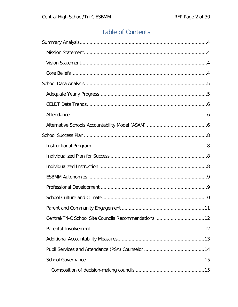# **Table of Contents**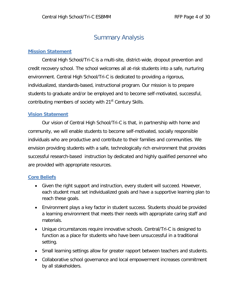# Summary Analysis

# <span id="page-3-1"></span><span id="page-3-0"></span>**Mission Statement**

Central High School/Tri-C is a multi-site, district-wide, dropout prevention and credit recovery school. The school welcomes all at-risk students into a safe, nurturing environment. Central High School/Tri-C is dedicated to providing a rigorous, individualized, standards-based, instructional program. Our mission is to prepare students to graduate and/or be employed and to become self-motivated, successful, contributing members of society with 21<sup>st</sup> Century Skills.

# <span id="page-3-2"></span>**Vision Statement**

Our vision of Central High School/Tri-C is that, in partnership with home and community, we will enable students to become self-motivated, socially responsible individuals who are productive and contribute to their families and communities. We envision providing students with a safe, technologically rich environment that provides successful research-based instruction by dedicated and highly qualified personnel who are provided with appropriate resources.

# <span id="page-3-3"></span>**Core Beliefs**

- Given the right support and instruction, every student will succeed. However, each student must set individualized goals and have a supportive learning plan to reach these goals.
- Environment plays a key factor in student success. Students should be provided a learning environment that meets their needs with appropriate caring staff and materials.
- Unique circumstances require innovative schools. Central/Tri-C is designed to function as a place for students who have been unsuccessful in a traditional setting.
- Small learning settings allow for greater rapport between teachers and students.
- Collaborative school governance and local empowerment increases commitment by all stakeholders.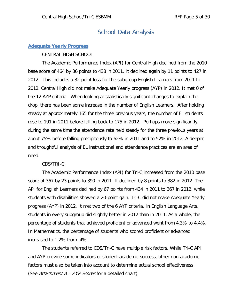# School Data Analysis

# <span id="page-4-1"></span><span id="page-4-0"></span>**Adequate Yearly Progress**

CENTRAL HIGH SCHOOL

The Academic Performance Index (API) for Central High declined from the 2010 base score of 464 by 36 points to 438 in 2011. It declined again by 11 points to 427 in 2012. This includes a 32-point loss for the subgroup English Learners from 2011 to 2012. Central High did not make Adequate Yearly progress (AYP) in 2012. It met 0 of the 12 AYP criteria. When looking at statistically significant changes to explain the drop, there has been some increase in the number of English Learners. After holding steady at approximately 165 for the three previous years, the number of EL students rose to 191 in 2011 before falling back to 175 in 2012. Perhaps more significantly, during the same time the attendance rate held steady for the three previous years at about 75% before falling precipitously to 62% in 2011 and to 52% in 2012. A deeper and thoughtful analysis of EL instructional and attendance practices are an area of need.

### CDS/TRI-C

The Academic Performance Index (API) for Tri-C increased from the 2010 base score of 367 by 23 points to 390 in 2011. It declined by 8 points to 382 in 2012. The API for English Learners declined by 67 points from 434 in 2011 to 367 in 2012, while students with disabilities showed a 20-point gain. Tri-C did not make Adequate Yearly progress (AYP) in 2012. It met two of the 6 AYP criteria. In English Language Arts, students in every subgroup did slightly better in 2012 than in 2011. As a whole, the percentage of students that achieved proficient or advanced went from 4.3% to 4.4%. In Mathematics, the percentage of students who scored proficient or advanced increased to 1.2% from .4%.

The students referred to CDS/Tri-C have multiple risk factors. While Tri-C API and AYP provide some indicators of student academic success, other non-academic factors must also be taken into account to determine actual school effectiveness. (See Attachment  $A - AYP$  Scores for a detailed chart)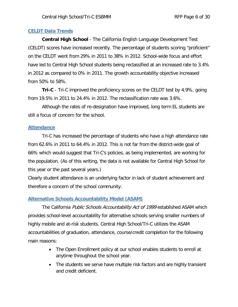### <span id="page-5-0"></span>**CELDT Data Trends**

**Central High School** - The California English Language Development Test (CELDT) scores have increased recently. The percentage of students scoring "proficient" on the CELDT went from 29% in 2011 to 38% in 2012. School-wide focus and effort have led to Central High School students being reclassified at an increased rate to 3.4% in 2012 as compared to 0% in 2011. The growth accountability objective increased from 50% to 58%.

**Tri-C** - Tri-C improved the proficiency scores on the CELDT test by 4.9%, going from 19.5% in 2011 to 24.4% in 2012. The reclassification rate was 3.6%.

Although the rates of re-designation have improved, long term EL students are still a focus of concern for the school.

### <span id="page-5-1"></span>**Attendance**

Tri-C has increased the percentage of students who have a high attendance rate from 62.6% in 2011 to 64.4% in 2012. This is not far from the district-wide goal of 66% which would suggest that Tri-C's policies, as being implemented, are working for the population. (As of this writing, the data is not available for Central High School for this year or the past several years.)

Clearly student attendance is an underlying factor in lack of student achievement and therefore a concern of the school community.

### <span id="page-5-2"></span>**Alternative Schools Accountability Model (ASAM)**

The California Public Schools Accountability Act of 1999 established ASAM which provides school-level accountability for alternative schools serving smaller numbers of highly mobile and at-risk students. Central High School/Tri-C utilizes the ASAM accountabilities of graduation, attendance, course/credit completion for the following main reasons:

- The Open Enrollment policy at our school enables students to enroll at anytime throughout the school year.
- The students we serve have multiple risk factors and are highly transient and credit deficient.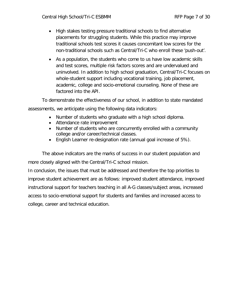- High stakes testing pressure traditional schools to find alternative placements for struggling students. While this practice may improve traditional schools test scores it causes concomitant low scores for the non-traditional schools such as Central/Tri-C who enroll these 'push-out'.
- As a population, the students who come to us have low academic skills and test scores, multiple risk factors scores and are undervalued and uninvolved. In addition to high school graduation, Central/Tri-C focuses on whole-student support including vocational training, job placement, academic, college and socio-emotional counseling. None of these are factored into the API.

To demonstrate the effectiveness of our school, in addition to state mandated assessments, we anticipate using the following data indicators:

- Number of students who graduate with a high school diploma.
- Attendance rate improvement
- Number of students who are concurrently enrolled with a community college and/or career/technical classes.
- English Learner re-designation rate (annual goal increase of 5%).

The above indicators are the marks of success in our student population and more closely aligned with the Central/Tri-C school mission.

In conclusion, the issues that must be addressed and therefore the top priorities to improve student achievement are as follows: improved student attendance, improved instructional support for teachers teaching in all A-G classes/subject areas, increased access to socio-emotional support for students and families and increased access to college, career and technical education.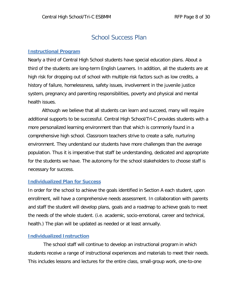# School Success Plan

### <span id="page-7-1"></span><span id="page-7-0"></span>**Instructional Program**

Nearly a third of Central High School students have special education plans. About a third of the students are long-term English Learners. In addition, all the students are at high risk for dropping out of school with multiple risk factors such as low credits, a history of failure, homelessness, safety issues, involvement in the juvenile justice system, pregnancy and parenting responsibilities, poverty and physical and mental health issues.

Although we believe that all students can learn and succeed, many will require additional supports to be successful. Central High School/Tri-C provides students with a more personalized learning environment than that which is commonly found in a comprehensive high school. Classroom teachers strive to create a safe, nurturing environment. They understand our students have more challenges than the average population. Thus it is imperative that staff be understanding, dedicated and appropriate for the students we have. The autonomy for the school stakeholders to choose staff is necessary for success.

#### <span id="page-7-2"></span>**Individualized Plan for Success**

In order for the school to achieve the goals identified in Section A each student, upon enrollment, will have a comprehensive needs assessment. In collaboration with parents and staff the student will develop plans, goals and a roadmap to achieve goals to meet the needs of the whole student. (i.e. academic, socio-emotional, career and technical, health.) The plan will be updated as needed or at least annually.

#### <span id="page-7-3"></span>**Individualized Instruction**

The school staff will continue to develop an instructional program in which students receive a range of instructional experiences and materials to meet their needs. This includes lessons and lectures for the entire class, small-group work, one-to-one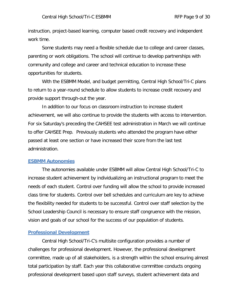instruction, project-based learning, computer based credit recovery and independent work time.

Some students may need a flexible schedule due to college and career classes, parenting or work obligations. The school will continue to develop partnerships with community and college and career and technical education to increase these opportunities for students.

With the ESBMM Model, and budget permitting, Central High School/Tri-C plans to return to a year-round schedule to allow students to increase credit recovery and provide support through-out the year.

In addition to our focus on classroom instruction to increase student achievement, we will also continue to provide the students with access to intervention. For six Saturday's preceding the CAHSEE test administration in March we will continue to offer CAHSEE Prep. Previously students who attended the program have either passed at least one section or have increased their score from the last test administration.

#### <span id="page-8-0"></span>**ESBMM Autonomies**

The autonomies available under ESBMM will allow Central High School/Tri-C to increase student achievement by individualizing an instructional program to meet the needs of each student. Control over funding will allow the school to provide increased class time for students. Control over bell schedules and curriculum are key to achieve the flexibility needed for students to be successful. Control over staff selection by the School Leadership Council is necessary to ensure staff congruence with the mission, vision and goals of our school for the success of our population of students.

#### <span id="page-8-1"></span>**Professional Development**

Central High School/Tri-C's multisite configuration provides a number of challenges for professional development. However, the professional development committee, made up of all stakeholders, is a strength within the school ensuring almost total participation by staff. Each year this collaborative committee conducts ongoing professional development based upon staff surveys, student achievement data and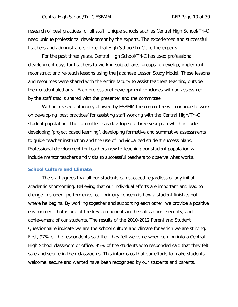research of best practices for all staff. Unique schools such as Central High School/Tri-C need unique professional development by the experts. The experienced and successful teachers and administrators of Central High School/Tri-C are the experts.

For the past three years, Central High School/Tri-C has used professional development days for teachers to work in subject area groups to develop, implement, reconstruct and re-teach lessons using the Japanese Lesson Study Model. These lessons and resources were shared with the entire faculty to assist teachers teaching outside their credentialed area. Each professional development concludes with an assessment by the staff that is shared with the presenter and the committee.

With increased autonomy allowed by ESBMM the committee will continue to work on developing 'best practices' for assisting staff working with the Central High/Tri-C student population. The committee has developed a three year plan which includes developing 'project based learning', developing formative and summative assessments to guide teacher instruction and the use of individualized student success plans. Professional development for teachers new to teaching our student population will include mentor teachers and visits to successful teachers to observe what works.

#### <span id="page-9-0"></span>**School Culture and Climate**

The staff agrees that all our students can succeed regardless of any initial academic shortcoming. Believing that our individual efforts are important and lead to change in student performance, our primary concern is how a student finishes not where he begins. By working together and supporting each other, we provide a positive environment that is one of the key components in the satisfaction, security, and achievement of our students. The results of the 2010-2012 Parent and Student Questionnaire indicate we are the school culture and climate for which we are striving. First, 97% of the respondents said that they felt welcome when coming into a Central High School classroom or office. 85% of the students who responded said that they felt safe and secure in their classrooms. This informs us that our efforts to make students welcome, secure and wanted have been recognized by our students and parents.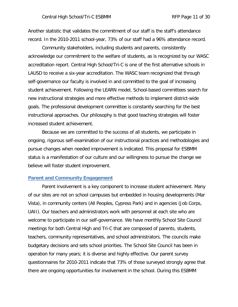Another statistic that validates the commitment of our staff is the staff's attendance record. In the 2010-2011 school-year, 73% of our staff had a 96% attendance record.

Community stakeholders, including students and parents, consistently acknowledge our commitment to the welfare of students, as is recognized by our WASC accreditation report. Central High School/Tri-C is one of the first alternative schools in LAUSD to receive a six-year accreditation. The WASC team recognized that through self-governance our faculty is involved in and committed to the goal of increasing student achievement. Following the LEARN model, School-based committees search for new instructional strategies and more effective methods to implement district-wide goals. The professional development committee is constantly searching for the best instructional approaches. Our philosophy is that good teaching strategies will foster increased student achievement.

Because we are committed to the success of all students, we participate in ongoing, rigorous self-examination of our instructional practices and methodologies and pursue changes when needed improvement is indicated. This proposal for ESBMM status is a manifestation of our culture and our willingness to pursue the change we believe will foster student improvement.

#### <span id="page-10-0"></span>**Parent and Community Engagement**

Parent involvement is a key component to increase student achievement. Many of our sites are not on school campuses but embedded in housing developments (Mar Vista), in community centers (All Peoples, Cypress Park) and in agencies (Job Corps, UAII). Our teachers and administrators work with personnel at each site who are welcome to participate in our self-governance. We have monthly School Site Council meetings for both Central High and Tri-C that are composed of parents, students, teachers, community representatives, and school administrators. The councils make budgetary decisions and sets school priorities. The School Site Council has been in operation for many years; it is diverse and highly effective. Our parent survey questionnaires for 2010-2011 indicate that 73% of those surveyed strongly agree that there are ongoing opportunities for involvement in the school. During this ESBMM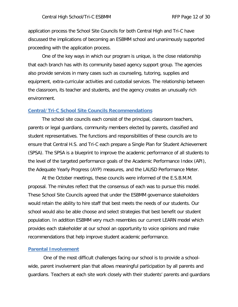application process the School Site Councils for both Central High and Tri-C have discussed the implications of becoming an ESBMM school and unanimously supported proceeding with the application process.

One of the key ways in which our program is unique, is the close relationship that each branch has with its community based agency support group. The agencies also provide services in many cases such as counseling, tutoring, supplies and equipment, extra-curricular activities and custodial services. The relationship between the classroom, its teacher and students, and the agency creates an unusually rich environment.

#### <span id="page-11-0"></span>**Central/Tri-C School Site Councils Recommendations**

The school site councils each consist of the principal, classroom teachers, parents or legal guardians, community members elected by parents, classified and student representatives. The functions and responsibilities of these councils are to ensure that Central H.S. and Tri-C each prepare a Single Plan for Student Achievement (SPSA). The SPSA is a blueprint to improve the academic performance of all students to the level of the targeted performance goals of the Academic Performance Index (API), the Adequate Yearly Progress (AYP) measures, and the LAUSD Performance Meter.

At the October meetings, these councils were informed of the E.S.B.M.M. proposal. The minutes reflect that the consensus of each was to pursue this model. These School Site Councils agreed that under the ESBMM governance stakeholders would retain the ability to hire staff that best meets the needs of our students. Our school would also be able choose and select strategies that best benefit our student population. In addition ESBMM very much resembles our current LEARN model which provides each stakeholder at our school an opportunity to voice opinions and make recommendations that help improve student academic performance.

#### <span id="page-11-1"></span>**Parental Involvement**

One of the most difficult challenges facing our school is to provide a schoolwide, parent involvement plan that allows meaningful participation by all parents and guardians. Teachers at each site work closely with their students' parents and guardians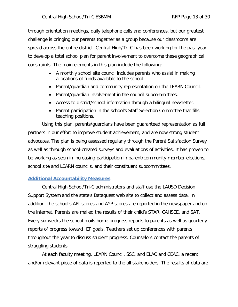through orientation meetings, daily telephone calls and conferences, but our greatest challenge is bringing our parents together as a group because our classrooms are spread across the entire district. Central High/Tri-C has been working for the past year to develop a total school plan for parent involvement to overcome these geographical constraints. The main elements in this plan include the following:

- A monthly school site council includes parents who assist in making allocations of funds available to the school.
- Parent/guardian and community representation on the LEARN Council.
- Parent/guardian involvement in the council subcommittees.
- Access to district/school information through a bilingual newsletter.
- Parent participation in the school's Staff Selection Committee that fills teaching positions.

Using this plan, parents/guardians have been guaranteed representation as full partners in our effort to improve student achievement, and are now strong student advocates. The plan is being assessed regularly through the Parent Satisfaction Survey as well as through school-created surveys and evaluations of activities. It has proven to be working as seen in increasing participation in parent/community member elections, school site and LEARN councils, and their constituent subcommittees.

# <span id="page-12-0"></span>**Additional Accountability Measures**

Central High School/Tri-C administrators and staff use the LAUSD Decision Support System and the state's Dataquest web site to collect and assess data. In addition, the school's API scores and AYP scores are reported in the newspaper and on the internet. Parents are mailed the results of their child's STAR, CAHSEE, and SAT. Every six weeks the school mails home progress reports to parents as well as quarterly reports of progress toward IEP goals. Teachers set up conferences with parents throughout the year to discuss student progress. Counselors contact the parents of struggling students.

At each faculty meeting, LEARN Council, SSC, and ELAC and CEAC, a recent and/or relevant piece of data is reported to the all stakeholders. The results of data are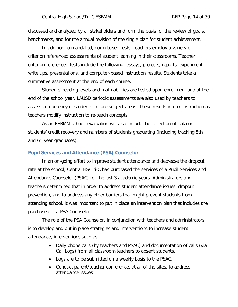discussed and analyzed by all stakeholders and form the basis for the review of goals, benchmarks, and for the annual revision of the single plan for student achievement.

In addition to mandated, norm-based tests, teachers employ a variety of criterion referenced assessments of student learning in their classrooms. Teacher criterion referenced tests include the following: essays, projects, reports, experiment write ups, presentations, and computer-based instruction results. Students take a summative assessment at the end of each course.

Students' reading levels and math abilities are tested upon enrollment and at the end of the school year. LAUSD periodic assessments are also used by teachers to assess competency of students in core subject areas. These results inform instruction as teachers modify instruction to re-teach concepts.

As an ESBMM school, evaluation will also include the collection of data on students' credit recovery and numbers of students graduating (including tracking 5th and  $6<sup>th</sup>$  year graduates).

#### <span id="page-13-0"></span>**Pupil Services and Attendance (PSA) Counselor**

In an on-going effort to improve student attendance and decrease the dropout rate at the school, Central HS/Tri-C has purchased the services of a Pupil Services and Attendance Counselor (PSAC) for the last 3 academic years. Administrators and teachers determined that in order to address student attendance issues, dropout prevention, and to address any other barriers that might prevent students from attending school, it was important to put in place an intervention plan that includes the purchased of a PSA Counselor.

The role of the PSA Counselor, in conjunction with teachers and administrators, is to develop and put in place strategies and interventions to increase student attendance, interventions such as:

- Daily phone calls (by teachers and PSAC) and documentation of calls (via Call Logs) from all classroom teachers to absent students.
- Logs are to be submitted on a weekly basis to the PSAC.
- Conduct parent/teacher conference, at all of the sites, to address attendance issues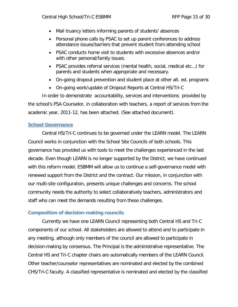- Mail truancy letters informing parents of students' absences
- Personal phone calls by PSAC to set up parent conferences to address attendance issues/barriers that prevent student from attending school
- PSAC conducts home visit to students with excessive absences and/or with other personal/family issues.
- PSAC provides referral services (mental health, social, medical etc…) for parents and students when appropriate and necessary.
- On-going dropout prevention and student place at other alt. ed. programs
- On-going work/update of Dropout Reports at Central HS/Tri-C

In order to demonstrate accountability, services and interventions provided by the school's PSA Counselor, in collaboration with teachers, a report of services from the academic year, 2011-12, has been attached. (See attached document).

# <span id="page-14-0"></span>**School Governance**

Central HS/Tri-C continues to be governed under the LEARN model. The LEARN Council works in conjunction with the School Site Councils of both schools. This governance has provided us with tools to meet the challenges experienced in the last decade. Even though LEARN is no longer supported by the District, we have continued with this reform model. ESBMM will allow us to continue a self-governance model with renewed support from the District and the contract. Our mission, in conjunction with our multi-site configuration, presents unique challenges and concerns. The school community needs the authority to select collaboratively teachers, administrators and staff who can meet the demands resulting from these challenges.

# <span id="page-14-1"></span>**Composition of decision-making councils**

Currently we have one LEARN Council representing both Central HS and Tri-C components of our school. All stakeholders are allowed to attend and to participate in any meeting, although only members of the council are allowed to participate in decision-making by consensus. The Principal is the administrative representative. The Central HS and Tri-C chapter chairs are automatically members of the LEARN Council. Other teacher/counselor representatives are nominated and elected by the combined CHS/Tri-C faculty. A classified representative is nominated and elected by the classified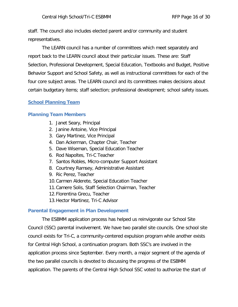staff. The council also includes elected parent and/or community and student representatives.

The LEARN council has a number of committees which meet separately and report back to the LEARN council about their particular issues. These are: Staff Selection, Professional Development, Special Education, Textbooks and Budget, Positive Behavior Support and School Safety, as well as instructional committees for each of the four core subject areas. The LEARN council and its committees makes decisions about certain budgetary items; staff selection; professional development; school safety issues.

# <span id="page-15-0"></span>**School Planning Team**

# <span id="page-15-1"></span>**Planning Team Members**

- 1. Janet Seary, Principal
- 2. Janine Antoine, Vice Principal
- 3. Gary Martinez, Vice Principal
- 4. Dan Ackerman, Chapter Chair, Teacher
- 5. Dave Wiseman, Special Education Teacher
- 6. Rod Napoltes, Tri-C Teacher
- 7. Santos Robles, Micro-computer Support Assistant
- 8. Courtney Ramsey, Administrative Assistant
- 9. Ric Perez, Teacher
- 10.Carmen Alderete, Special Education Teacher
- 11.Camere Solis, Staff Selection Chairman, Teacher
- 12.Florentina Grecu, Teacher
- 13.Hector Martinez, Tri-C Advisor

### <span id="page-15-2"></span>**Parental Engagement in Plan Development**

The ESBMM application process has helped us reinvigorate our School Site Council (SSC) parental involvement. We have two parallel site councils. One school site council exists for Tri-C, a community-centered expulsion program while another exists for Central High School, a continuation program. Both SSC's are involved in the application process since September. Every month, a major segment of the agenda of the two parallel councils is devoted to discussing the progress of the ESBMM application. The parents of the Central High School SSC voted to authorize the start of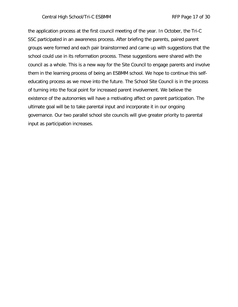### Central High School/Tri-C ESBMM RFP Page 17 of 30

the application process at the first council meeting of the year. In October, the Tri-C SSC participated in an awareness process. After briefing the parents, paired parent groups were formed and each pair brainstormed and came up with suggestions that the school could use in its reformation process. These suggestions were shared with the council as a whole. This is a new way for the Site Council to engage parents and involve them in the learning process of being an ESBMM school. We hope to continue this selfeducating process as we move into the future. The School Site Council is in the process of turning into the focal point for increased parent involvement. We believe the existence of the autonomies will have a motivating affect on parent participation. The ultimate goal will be to take parental input and incorporate it in our ongoing governance. Our two parallel school site councils will give greater priority to parental input as participation increases.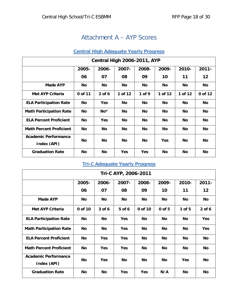# Attachment A – AYP Scores

# **Central High Adequate Yearly Progress**

<span id="page-17-1"></span><span id="page-17-0"></span>

| <b>Central High 2006-2011, AYP</b>         |           |            |           |            |            |           |           |  |
|--------------------------------------------|-----------|------------|-----------|------------|------------|-----------|-----------|--|
|                                            | 2005-     | 2006-      | 2007-     | 2008-      | 2009-      | 2010-     | $2011 -$  |  |
|                                            | 06        | 07         | 08        | 09         | 10         | 11        | 12        |  |
| Made AYP                                   | No        | <b>No</b>  | <b>No</b> | <b>No</b>  | No         | No        | No        |  |
| <b>Met AYP Criteria</b>                    | 0 of 11   | $2$ of 6   | 1 of 12   | 1 of 9     | 1 of 12    | 1 of 12   | 0 of 12   |  |
| <b>ELA Participation Rate</b>              | <b>No</b> | <b>Yes</b> | <b>No</b> | No         | <b>No</b>  | No        | <b>No</b> |  |
| <b>Math Participation Rate</b>             | No        | $No*$      | No        | <b>No</b>  | No         | <b>No</b> | No        |  |
| <b>ELA Percent Proficient</b>              | No        | <b>Yes</b> | No        | No         | No         | No        | No        |  |
| <b>Math Percent Proficient</b>             | No        | No         | <b>No</b> | No         | No         | No        | <b>No</b> |  |
| <b>Academic Performance</b><br>Index (API) | No        | <b>No</b>  | <b>No</b> | No.        | <b>Yes</b> | No        | <b>No</b> |  |
| <b>Graduation Rate</b>                     | No        | <b>No</b>  | Yes       | <b>Yes</b> | No         | <b>No</b> | No        |  |

# **Tri-C Adequate Yearly Progress**

<span id="page-17-2"></span>

| Tri-C AYP, 2006-2011                       |         |            |            |            |           |            |            |
|--------------------------------------------|---------|------------|------------|------------|-----------|------------|------------|
|                                            | 2005-   | 2006-      | 2007-      | 2008-      | 2009-     | 2010-      | $2011 -$   |
|                                            | 06      | 07         | 08         | 09         | 10        | 11         | 12         |
| <b>Made AYP</b>                            | No      | <b>No</b>  | <b>No</b>  | No         | No        | No         | No         |
| <b>Met AYP Criteria</b>                    | 0 of 10 | 3 of 6     | 5 of 6     | 0 of 10    | 0 of 5    | $1$ of 5   | $2$ of 6   |
| <b>ELA Participation Rate</b>              | No      | No         | <b>Yes</b> | No         | No        | <b>No</b>  | <b>Yes</b> |
| <b>Math Participation Rate</b>             | No      | No         | <b>Yes</b> | No         | <b>No</b> | No         | Yes        |
| <b>ELA Percent Proficient</b>              | No      | <b>Yes</b> | <b>Yes</b> | No         | No        | No         | No         |
| <b>Math Percent Proficient</b>             | No      | <b>Yes</b> | <b>Yes</b> | <b>No</b>  | No        | <b>No</b>  | No         |
| <b>Academic Performance</b><br>Index (API) | No      | <b>Yes</b> | <b>No</b>  | <b>No</b>  | No        | <b>Yes</b> | No         |
| <b>Graduation Rate</b>                     | No      | <b>No</b>  | <b>Yes</b> | <b>Yes</b> | N/A       | No         | No         |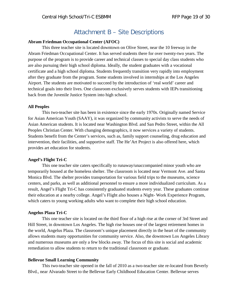# Attachment B – Site Descriptions

#### <span id="page-18-0"></span>**Abram Friedman Occupational Center (AFOC)**

This three teacher site is located downtown on Olive Street, near the 10 freeway in the Abram Friedman Occupational Center. It has served students there for over twenty-two years. The purpose of the program is to provide career and technical classes to special day class students who are also pursuing their high school diploma. Ideally, the student graduates with a vocational certificate and a high school diploma. Students frequently transition very rapidly into employment after they graduate from the program. Some students involved in internships at the Los Angeles Airport. The students are motivated to succeed by the introduction of 'real world' career and technical goals into their lives. One classroom exclusively serves students with IEPs transitioning back from the Juvenile Justice System into high school.

#### **All Peoples**

This two-teacher site has been in existence since the early 1970s. Originally named Service for Asian American Youth (SAAY), it was organized by community activists to serve the needs of Asian American students. It is located near Washington Blvd. and San Pedro Street, within the All Peoples Christian Center. With changing demographics, it now services a variety of students. Students benefit from the Center's services, such as, family support counseling, drug education and intervention, their facilities, and supportive staff. The He'Art Project is also offered here, which provides art education for students.

#### **Angel's Flight Tri-C**

This one teacher site caters specifically to runaway/unaccompanied minor youth who are temporarily housed at the homeless shelter. The classroom is located near Vermont Ave. and Santa Monica Blvd. The shelter provides transportation for various field trips to the museums, science centers, and parks, as well as additional personnel to ensure a more individualized curriculum. As a result, Angel's Flight Tri-C has consistently graduated students every year. These graduates continue their education at a nearby college. Angel's Flight also houses a Night- Work Experience Program, which caters to young working adults who want to complete their high school education.

#### **Angelus Plaza Tri-C**

This one teacher site is located on the third floor of a high rise at the corner of 3rd Street and Hill Street, in downtown Los Angeles. The high rise houses one of the largest retirement homes in the world, Angelus Plaza. The classroom's unique placement directly in the heart of the community allows students many opportunities for community service. Also, the downtown Los Angeles Library and numerous museums are only a few blocks away. The focus of this site is social and academic remediation to allow students to return to the traditional classroom or graduate.

#### **Bellevue Small Learning Community**

This two-teacher site opened in the fall of 2010 as a two-teacher site re-located from Beverly Blvd., near Alvarado Street to the Bellevue Early Childhood Education Center. Bellevue serves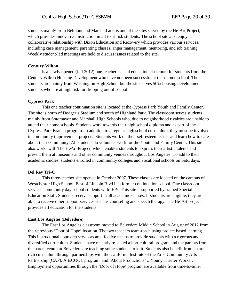students mainly from Belmont and Marshall and is one of the sites served by the He'Art Project, which provides innovative instruction in art to at-risk students. The school site also enjoys a collaborative relationship with Dixon Education and Recovery which provides various services, including case management, parenting classes, anger management, mentoring, and job training. Weekly student-led meetings are held to discuss issues related to the site.

#### **Century Wilton**

Is a newly opened (fall 2012) one-teacher special education classroom for students from the Century Wilton Housing Development who have not been successful at their home school. The students are mainly from Washington High School but the site serves 50% housing development students who are at high risk for dropping out of school.

#### **Cypress Park**

This one teacher continuation site is located at the Cypress Park Youth and Family Center. The site is north of Dodger's Stadium and south of Highland Park. The classroom serves students mainly from Sotomayor and Marshall High Schools who, due to neighborhood rivalries are unable to attend their home schools. Students work towards their high school diploma and as part of the Cypress Park Branch program. In addition to a regular high school curriculum, they must be involved in community improvement projects. Students work on their self-esteem issues and learn how to care about their community. All students do volunteer work for the Youth and Family Center. This site also works with The HeArt Project, which enables students to express their artistic talents and present them at museums and other community venues throughout Los Angeles. To add to their academic studies, students enrolled in community colleges and vocational schools on Saturdays.

#### **Del Rey Tri-C**

This three-teacher site opened in October 2007. These classes are located on the campus of Westchester High School, East of Lincoln Blvd in a former continuation school. One classroom services community day school students with IEPs. This site is supported by trained Special Education Staff. Students receive support in all academic classes. If students are eligible, they are able to receive other support services such as counseling and speech therapy. The He'Art project provides art education for the students.

#### **East Los Angeles (Belvedere)**

The East Los Angeles classroom moved to Belvedere Middle School in August of 2012 from their previous 'Door of Hope' location. The two teachers team-teach using project based learning. This instructional approach serves as an effective means to provide students with a rigorous and diversified curriculum. Students have recently re-stated a horticultural program and the parents from the parent center at Belvedere are teaching some students to knit. Students also benefit from an arts rich curriculum through partnerships with the California Institute of the Arts, Community Arts Partnership (CAP), ArtsCOOL program, and 'About Productions' ...Young Theater Works'. Employment opportunities through the 'Door of Hope' program are available from time-to-time.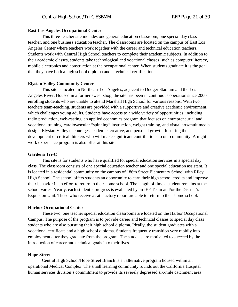#### **East Los Angeles Occupational Center**

This three-teacher site includes one general education classroom, one special day class teacher, and one business education teacher. The classrooms are located on the campus of East Los Angeles Center where teachers work together with the career and technical education teachers. Students work with Central High School teachers to complete their academic subjects. In addition to their academic classes, students take technological and vocational classes, such as computer literacy, mobile electronics and construction at the occupational center. When students graduate it is the goal that they have both a high school diploma and a technical certification.

#### **Elysian Valley Community Center**

This site is located in Northeast Los Angeles, adjacent to Dodger Stadium and the Los Angeles River. Housed in a former sweat shop, the site has been in continuous operation since 2000 enrolling students who are unable to attend Marshall High School for various reasons. With two teachers team-teaching, students are provided with a supportive and creative academic environment, which challenges young adults. Students have access to a wide variety of opportunities, including radio production, web-casting, an applied economics program that focuses on entrepreneurial and vocational training, cardiovascular "spinning" instruction, weight training, and visual arts/multimedia design. Elysian Valley encourages academic, creative, and personal growth, fostering the development of critical thinkers who will make significant contributions to our community. A night work experience program is also offer at this site.

#### **Gardena Tri-C**

This site is for students who have qualified for special education services in a special day class. The classroom consists of one special education teacher and one special education assistant. It is located in a residential community on the campus of 186th Street Elementary School with Riley High School. The school offers students an opportunity to earn their high school credits and improve their behavior in an effort to return to their home school. The length of time a student remains at the school varies. Yearly, each student's progress is evaluated by an IEP Team and/or the District's Expulsion Unit. Those who receive a satisfactory report are able to return to their home school.

#### **Harbor Occupational Center**

These two, one teacher special education classrooms are located on the Harbor Occupational Campus. The purpose of the program is to provide career and technical classes to special day class students who are also pursuing their high school diploma. Ideally, the student graduates with a vocational certificate and a high school diploma. Students frequently transition very rapidly into employment after they graduate from the program. The students are motivated to succeed by the introduction of career and technical goals into their lives.

#### **Hope Street**

Central High School/Hope Street Branch is an alternative program housed within an operational Medical Complex. The small learning community rounds out the California Hospital human services division's commitment to provide its severely depressed six-mile catchment area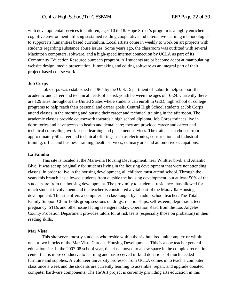with developmental services to children, ages 10 to 18. Hope Street's program is a highly enriched cognitive environment utilizing sustained reading cooperative and interactive learning methodologies to support its humanities based curriculum. Local artists come in weekly to work on art projects with students regarding substance abuse issues. Some years ago, the classroom was outfitted with several Macintosh computers, software, and a high-speed internet connection by UCLA as part of its Community Education Resource outreach program. All students are or become adept at manipulating website design, media presentation, filmmaking and editing software as an integral part of their project-based course work.

#### **Job Corps**

Job Corps was established in 1964 by the U. S. Department of Labor to help support the academic and career and technical needs of at-risk youth between the ages of 16-24. Currently there are 129 sites throughout the United States where students can enroll in GED, high school or college programs to help reach their personal and career goals. Central High School students at Job Corps attend classes in the morning and pursue their career and technical training in the afternoon. The academic classes provide coursework towards a high school diploma. Job Corps trainees live in dormitories and have access to health and dental care; they are provided career and career and technical counseling, work-based learning and placement services. The trainee can choose from approximately 50 career and technical offerings such as electronics, construction and industrial training, office and business training, health services, culinary arts and automotive occupations.

#### **La Familia**

This site is located at the Maravilla Housing Development, near Whittier blvd. and Atlantic Blvd. It was set up originally for students living in the housing development that were not attending classes. In order to live in the housing development, all children must attend school. Through the years this branch has allowed students from outside the housing development, but at least 50% of the students are from the housing development. The proximity to students' residences has allowed for much student involvement and the teacher is considered a vital part of the Maravilla Housing development. This site offers a computer lab class taught by an adult school teacher. The Total Family Support Clinic holds group sessions on drugs, relationships, self-esteem, depression, teen pregnancy, STDs and other issue facing teenagers today. Operation Read from the Los Angeles County Probation Department provides tutors for at risk teens (especially those on probation) in their reading skills.

#### **Mar Vista**

This site serves mostly students who reside within the six hundred unit complex or within one or two blocks of the Mar Vista Gardens Housing Development. This is a one teacher general education site. In the 2007-08 school year, the class moved to a new space in the complex recreation center that is more conducive to learning and has received in-kind donations of much needed furniture and supplies. A volunteer university professor from UCLA comes in to teach a computer class once a week and the students are currently learning to assemble, repair, and upgrade donated computer hardware components. The He'Art project is currently providing arts education in this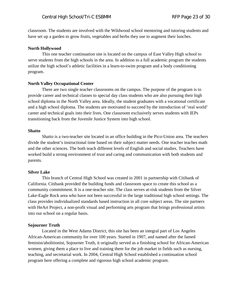classroom. The students are involved with the Wildwood school mentoring and tutoring students and have set up a garden to grow fruits, vegetables and herbs they use to augment their lunches.

#### **North Hollywood**

This one teacher continuation site is located on the campus of East Valley High school to serve students from the high schools in the area. In addition to a full academic program the students utilize the high school's athletic facilities in a learn-to-swim program and a body conditioning program.

#### **North Valley Occupational Center**

There are two single teacher classrooms on the campus. The purpose of the program is to provide career and technical classes to special day class students who are also pursuing their high school diploma in the North Valley area. Ideally, the student graduates with a vocational certificate and a high school diploma. The students are motivated to succeed by the introduction of 'real world' career and technical goals into their lives. One classroom exclusively serves students with IEPs transitioning back from the Juvenile Justice System into high school.

#### **Shatto**

Shatto is a two-teacher site located in an office building in the Pico-Union area. The teachers divide the student's instructional time based on their subject matter needs. One teacher teaches math and the other sciences. The both teach different levels of English and social studies. Teachers have worked build a strong environment of trust and caring and communication with both students and parents.

#### **Silver Lake**

This branch of Central High School was created in 2001 in partnership with Citibank of California. Citibank provided the building funds and classroom space to create this school as a community commitment. It is a one-teacher site. The class serves at-risk students from the Silver Lake-Eagle Rock area who have not been successful in the large traditional high school settings. The class provides individualized standards based instruction in all core subject areas. The site partners with HeArt Project, a non-profit visual and performing arts program that brings professional artists into our school on a regular basis.

#### **Sojourner Truth**

Located in the West Adams District, this site has been an integral part of Los Angeles African-American community for over 100 years. Started in 1907, and named after the famed feminist/abolitionist, Sojourner Truth, it originally served as a finishing school for African-American women, giving them a place to live and training them for the job market in fields such as nursing, teaching, and secretarial work. In 2004, Central High School established a continuation school program here offering a complete and rigorous high school academic program.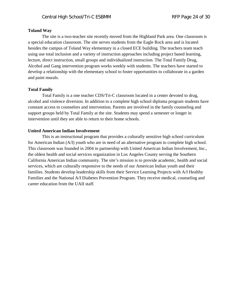#### **Toland Way**

The site is a two-teacher site recently moved from the Highland Park area. One classroom is a special education classroom. The site serves students from the Eagle Rock area and is located besides the campus of Toland Way elementary in a closed ECE building. The teachers team teach using use total inclusion and a variety of instruction approaches including project based learning, lecture, direct instruction, small groups and individualized instruction. The Total Family Drug, Alcohol and Gang intervention program works weekly with students. The teachers have started to develop a relationship with the elementary school to foster opportunities to collaborate in a garden and paint murals.

#### **Total Family**

Total Family is a one teacher CDS/Tri-C classroom located in a center devoted to drug, alcohol and violence diversion. In addition to a complete high school diploma program students have constant access to counselors and intervention. Parents are involved in the family counseling and support groups held by Total Family at the site. Students may spend a semester or longer in intervention until they are able to return to their home schools.

#### **United American Indian Involvement**

This is an instructional program that provides a culturally sensitive high school curriculum for American Indian (A/I) youth who are in need of an alternative program to complete high school. This classroom was founded in 2004 in partnership with United American Indian Involvement, Inc., the oldest health and social services organization in Los Angeles County serving the Southern California American Indian community. The site's mission is to provide academic, health and social services, which are culturally responsive to the needs of our American Indian youth and their families. Students develop leadership skills from their Service Learning Projects with A/I Healthy Families and the National A/I Diabetes Prevention Program. They receive medical, counseling and career education from the UAII staff.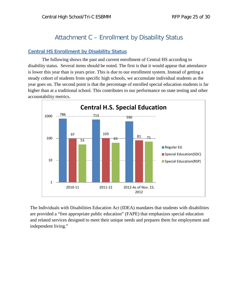# Attachment C – Enrollment by Disability Status

# <span id="page-24-1"></span><span id="page-24-0"></span>**Central HS Enrollment by Disability Status**

The following shows the past and current enrollment of Central HS according to disability status. Several items should be noted. The first is that it would appear that attendance is lower this year than is years prior. This is due to our enrollment system. Instead of getting a steady cohort of students from specific high schools, we accumulate individual students as the year goes on. The second point is that the percentage of enrolled special education students is far higher than at a traditional school. This contributes to our performance on state testing and other accountability metrics.



The Individuals with Disabilities Education Act (IDEA) mandates that students with disabilities are provided a "free appropriate public education" (FAPE) that emphasizes special education and related services designed to meet their unique needs and prepares them for employment and independent living."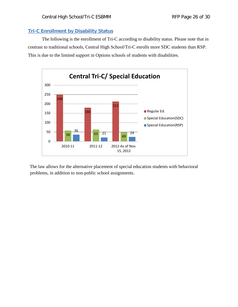### <span id="page-25-0"></span>**Tri-C Enrollment by Disability Status**

The following is the enrollment of Tri-C according to disability status. Please note that in contrast to traditional schools, Central High School/Tri-C enrolls more SDC students than RSP. This is due to the limited support in Options schools of students with disabilities.



The law allows for the alternative placement of special education students with behavioral problems, in addition to non-public school assignments.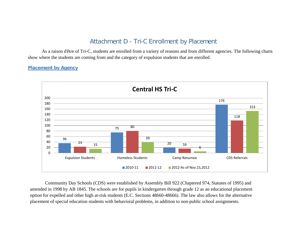# Attachment D - Tri-C Enrollment by Placement

As a raison d'être of Tri-C, students are enrolled from a variety of reasons and from different agencies. The following charts show where the students are coming from and the category of expulsion students that are enrolled.

### **Placement by Agency**

<span id="page-26-0"></span>

<span id="page-26-1"></span>Community Day Schools (CDS) were established by Assembly Bill 922 (Chaptered 974, Statutes of 1995) and amended in 1998 by AB 1845. The schools are for pupils in kindergarten through grade 12 as an educational placement option for expelled and other high at-risk students (E.C. Sections 48660-48666). The law also allows for the alternative placement of special education students with behavioral problems, in addition to non-public school assignments.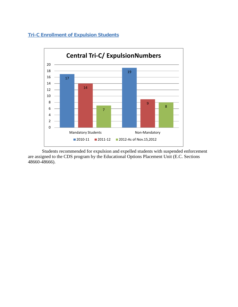# <span id="page-27-0"></span>**Tri-C Enrollment of Expulsion Students**



Students recommended for expulsion and expelled students with suspended enforcement are assigned to the CDS program by the Educational Options Placement Unit (E.C. Sections 48660-48666).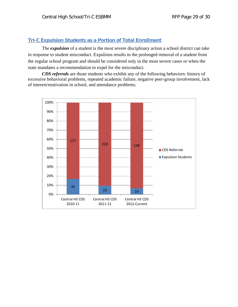# <span id="page-28-0"></span>**Tri-C Expulsion Students as a Portion of Total Enrollment**

The *expulsion* of a student is the most severe disciplinary action a school district can take in response to student misconduct. Expulsion results in the prolonged removal of a student from the regular school program and should be considered only in the most severe cases or when the state mandates a recommendation to expel for the misconduct.

*CDS referrals* are those students who exhibit any of the following behaviors: history of excessive behavioral problems, repeated academic failure, negative peer-group involvement, lack of interest/motivation in school, and attendance problems.